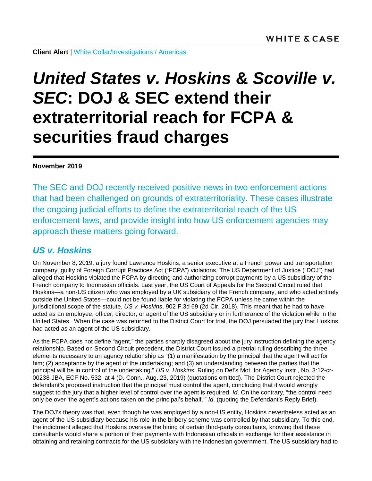**Client Alert** | [White Collar/Investigations](https://www.whitecase.com/law/practices/white-collar-investigations) / [Americas](https://www.whitecase.com/locations#americas)

# *United States v. Hoskins* **&** *Scoville v. SEC***: DOJ & SEC extend their extraterritorial reach for FCPA & securities fraud charges**

#### **November 2019**

The SEC and DOJ recently received positive news in two enforcement actions that had been challenged on grounds of extraterritoriality. These cases illustrate the ongoing judicial efforts to define the extraterritorial reach of the US enforcement laws, and provide insight into how US enforcement agencies may approach these matters going forward.

## *US v. Hoskins*

On November 8, 2019, a jury found Lawrence Hoskins, a senior executive at a French power and transportation company, guilty of Foreign Corrupt Practices Act ("FCPA") violations. The US Department of Justice ("DOJ") had alleged that Hoskins violated the FCPA by directing and authorizing corrupt payments by a US subsidiary of the French company to Indonesian officials. Last year, the US Court of Appeals for the Second Circuit ruled that Hoskins—a non-US citizen who was employed by a UK subsidiary of the French company, and who acted entirely outside the United States—could not be found liable for violating the FCPA unless he came within the jurisdictional scope of the statute. *US v. Hoskins*, 902 F.3d 69 (2d Cir. 2018). This meant that he had to have acted as an employee, officer, director, or agent of the US subsidiary or in furtherance of the violation while in the United States. When the case was returned to the District Court for trial, the DOJ persuaded the jury that Hoskins had acted as an agent of the US subsidiary.

As the FCPA does not define "agent," the parties sharply disagreed about the jury instruction defining the agency relationship. Based on Second Circuit precedent, the District Court issued a pretrial ruling describing the three elements necessary to an agency relationship as "(1) a manifestation by the principal that the agent will act for him; (2) acceptance by the agent of the undertaking; and (3) an understanding between the parties that the principal will be in control of the undertaking." *US v. Hoskins*, Ruling on Def's Mot. for Agency Instr., No. 3:12-cr-00238-JBA, ECF No. 532, at 4 (D. Conn., Aug. 23, 2019) (quotations omitted). The District Court rejected the defendant's proposed instruction that the principal must control the agent, concluding that it would wrongly suggest to the jury that a higher level of control over the agent is required. *Id*. On the contrary, "the control need only be over 'the agent's actions taken on the principal's behalf.'" *Id*. (quoting the Defendant's Reply Brief).

The DOJ's theory was that, even though he was employed by a non-US entity, Hoskins nevertheless acted as an agent of the US subsidiary because his role in the bribery scheme was controlled by that subsidiary. To this end, the indictment alleged that Hoskins oversaw the hiring of certain third-party consultants, knowing that these consultants would share a portion of their payments with Indonesian officials in exchange for their assistance in obtaining and retaining contracts for the US subsidiary with the Indonesian government. The US subsidiary had to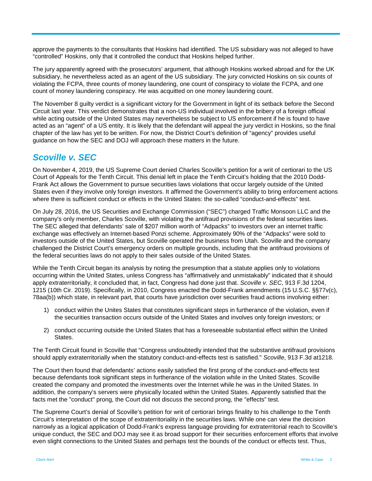approve the payments to the consultants that Hoskins had identified. The US subsidiary was not alleged to have "controlled" Hoskins, only that it controlled the conduct that Hoskins helped further.

The jury apparently agreed with the prosecutors' argument, that although Hoskins worked abroad and for the UK subsidiary, he nevertheless acted as an agent of the US subsidiary. The jury convicted Hoskins on six counts of violating the FCPA, three counts of money laundering, one count of conspiracy to violate the FCPA, and one count of money laundering conspiracy. He was acquitted on one money laundering count.

The November 8 guilty verdict is a significant victory for the Government in light of its setback before the Second Circuit last year. This verdict demonstrates that a non-US individual involved in the bribery of a foreign official while acting outside of the United States may nevertheless be subject to US enforcement if he is found to have acted as an "agent" of a US entity. It is likely that the defendant will appeal the jury verdict in Hoskins, so the final chapter of the law has yet to be written. For now, the District Court's definition of "agency" provides useful guidance on how the SEC and DOJ will approach these matters in the future.

### *Scoville v. SEC*

On November 4, 2019, the US Supreme Court denied Charles Scoville's petition for a writ of certiorari to the US Court of Appeals for the Tenth Circuit. This denial left in place the Tenth Circuit's holding that the 2010 Dodd-Frank Act allows the Government to pursue securities laws violations that occur largely outside of the United States even if they involve only foreign investors. It affirmed the Government's ability to bring enforcement actions where there is sufficient conduct or effects in the United States: the so-called "conduct-and-effects" test.

On July 28, 2016, the US Securities and Exchange Commission ("SEC") charged Traffic Monsoon LLC and the company's only member, Charles Scoville, with violating the antifraud provisions of the federal securities laws. The SEC alleged that defendants' sale of \$207 million worth of "Adpacks" to investors over an internet traffic exchange was effectively an Internet-based Ponzi scheme. Approximately 90% of the "Adpacks" were sold to investors outside of the United States, but Scoville operated the business from Utah. Scoville and the company challenged the District Court's emergency orders on multiple grounds, including that the antifraud provisions of the federal securities laws do not apply to their sales outside of the United States.

While the Tenth Circuit began its analysis by noting the presumption that a statute applies only to violations occurring within the United States, unless Congress has "affirmatively and unmistakably" indicated that it should apply extraterritorially, it concluded that, in fact, Congress had done just that. *Scoville v. SEC*, 913 F.3d 1204, 1215 (10th Cir. 2019). Specifically, in 2010, Congress enacted the Dodd-Frank amendments (15 U.S.C. §§77v(c), 78aa(b)) which state, in relevant part, that courts have jurisdiction over securities fraud actions involving either:

- 1) conduct within the Unites States that constitutes significant steps in furtherance of the violation, even if the securities transaction occurs outside of the United States and involves only foreign investors; or
- 2) conduct occurring outside the United States that has a foreseeable substantial effect within the United States.

The Tenth Circuit found in Scoville that "Congress undoubtedly intended that the substantive antifraud provisions should apply extraterritorially when the statutory conduct-and-effects test is satisfied." *Scoville*, 913 F.3d at1218.

The Court then found that defendants' actions easily satisfied the first prong of the conduct-and-effects test because defendants took significant steps in furtherance of the violation while in the United States. Scoville created the company and promoted the investments over the Internet while he was in the United States. In addition, the company's servers were physically located within the United States. Apparently satisfied that the facts met the "conduct" prong, the Court did not discuss the second prong, the "effects" test.

The Supreme Court's denial of Scoville's petition for writ of certiorari brings finality to his challenge to the Tenth Circuit's interpretation of the scope of extraterritoriality in the securities laws. While one can view the decision narrowly as a logical application of Dodd-Frank's express language providing for extraterritorial reach to Scoville's unique conduct, the SEC and DOJ may see it as broad support for their securities enforcement efforts that involve even slight connections to the United States and perhaps test the bounds of the conduct or effects test. Thus,